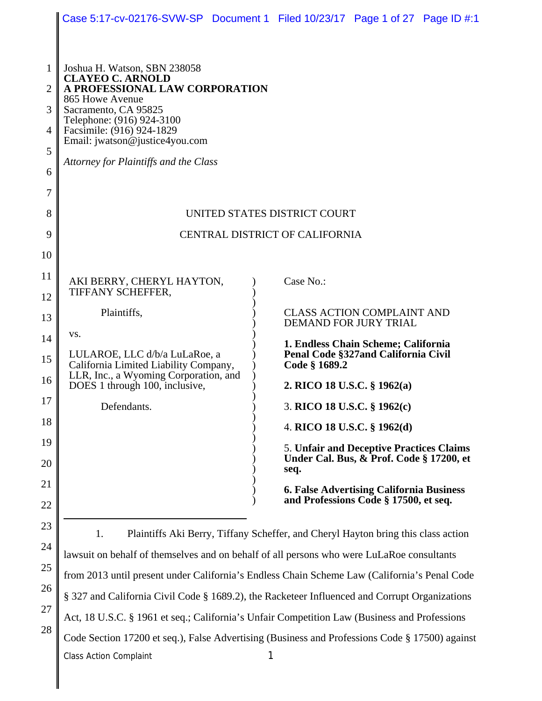|                |                                                                                                                                                                              | Case 5:17-cv-02176-SVW-SP Document 1 Filed 10/23/17 Page 1 of 27 Page ID #:1                 |  |  |  |  |  |  |
|----------------|------------------------------------------------------------------------------------------------------------------------------------------------------------------------------|----------------------------------------------------------------------------------------------|--|--|--|--|--|--|
|                |                                                                                                                                                                              |                                                                                              |  |  |  |  |  |  |
| $\mathbf{1}$   | Joshua H. Watson, SBN 238058                                                                                                                                                 |                                                                                              |  |  |  |  |  |  |
| $\overline{2}$ | <b>CLAYEO C. ARNOLD</b><br>A PROFESSIONAL LAW CORPORATION                                                                                                                    |                                                                                              |  |  |  |  |  |  |
| 3              | 865 Howe Avenue<br>Sacramento, CA 95825<br>Telephone: (916) 924-3100<br>Facsimile: (916) 924-1829<br>Email: jwatson@justice4you.com<br>Attorney for Plaintiffs and the Class |                                                                                              |  |  |  |  |  |  |
| $\overline{4}$ |                                                                                                                                                                              |                                                                                              |  |  |  |  |  |  |
| 5              |                                                                                                                                                                              |                                                                                              |  |  |  |  |  |  |
| 6              |                                                                                                                                                                              |                                                                                              |  |  |  |  |  |  |
| 7              |                                                                                                                                                                              |                                                                                              |  |  |  |  |  |  |
| 8              |                                                                                                                                                                              | UNITED STATES DISTRICT COURT                                                                 |  |  |  |  |  |  |
| 9              | CENTRAL DISTRICT OF CALIFORNIA                                                                                                                                               |                                                                                              |  |  |  |  |  |  |
| 10             |                                                                                                                                                                              |                                                                                              |  |  |  |  |  |  |
| 11             | AKI BERRY, CHERYL HAYTON,                                                                                                                                                    | Case No.:                                                                                    |  |  |  |  |  |  |
| 12             | TIFFANY SCHEFFER,<br>Plaintiffs,<br><b>CLASS ACTION COMPLAINT AND</b><br>DEMAND FOR JURY TRIAL<br>VS.<br>1. Endless Chain Scheme; California                                 |                                                                                              |  |  |  |  |  |  |
| 13             |                                                                                                                                                                              |                                                                                              |  |  |  |  |  |  |
| 14             |                                                                                                                                                                              |                                                                                              |  |  |  |  |  |  |
| 15             | Penal Code §327and California Civil<br>LULAROE, LLC d/b/a LuLaRoe, a<br>California Limited Liability Company,<br>Code § 1689.2<br>LLR, Inc., a Wyoming Corporation, and      |                                                                                              |  |  |  |  |  |  |
| 16             | DOES 1 through 100, inclusive,                                                                                                                                               | 2. RICO 18 U.S.C. § 1962(a)                                                                  |  |  |  |  |  |  |
| 17             | Defendants.<br>3. RICO 18 U.S.C. § 1962(c)                                                                                                                                   |                                                                                              |  |  |  |  |  |  |
| 18             |                                                                                                                                                                              | 4. RICO 18 U.S.C. § 1962(d)                                                                  |  |  |  |  |  |  |
| 19             |                                                                                                                                                                              | 5. Unfair and Deceptive Practices Claims<br>Under Cal. Bus, & Prof. Code § 17200, et         |  |  |  |  |  |  |
| 20             |                                                                                                                                                                              | seq.                                                                                         |  |  |  |  |  |  |
| 21             |                                                                                                                                                                              | <b>6. False Advertising California Business</b><br>and Professions Code § 17500, et seq.     |  |  |  |  |  |  |
| 22<br>23       |                                                                                                                                                                              |                                                                                              |  |  |  |  |  |  |
| 24             | 1.                                                                                                                                                                           | Plaintiffs Aki Berry, Tiffany Scheffer, and Cheryl Hayton bring this class action            |  |  |  |  |  |  |
| 25             |                                                                                                                                                                              | lawsuit on behalf of themselves and on behalf of all persons who were LuLaRoe consultants    |  |  |  |  |  |  |
| 26             |                                                                                                                                                                              | from 2013 until present under California's Endless Chain Scheme Law (California's Penal Code |  |  |  |  |  |  |
| 27             | § 327 and California Civil Code § 1689.2), the Racketeer Influenced and Corrupt Organizations                                                                                |                                                                                              |  |  |  |  |  |  |
| 28             | Act, 18 U.S.C. § 1961 et seq.; California's Unfair Competition Law (Business and Professions                                                                                 |                                                                                              |  |  |  |  |  |  |
|                | Code Section 17200 et seq.), False Advertising (Business and Professions Code § 17500) against                                                                               |                                                                                              |  |  |  |  |  |  |
|                | <b>Class Action Complaint</b>                                                                                                                                                |                                                                                              |  |  |  |  |  |  |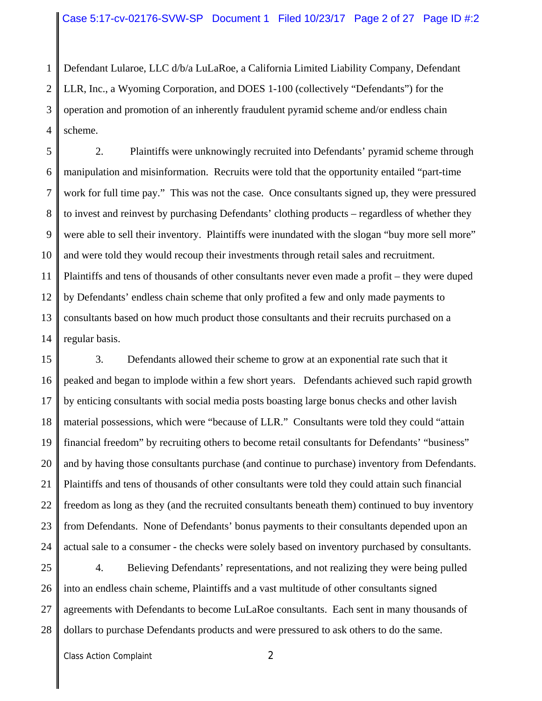1 2 3 4 Defendant Lularoe, LLC d/b/a LuLaRoe, a California Limited Liability Company, Defendant LLR, Inc., a Wyoming Corporation, and DOES 1-100 (collectively "Defendants") for the operation and promotion of an inherently fraudulent pyramid scheme and/or endless chain scheme.

5 6 7 8 9 10 11 12 13 14 2. Plaintiffs were unknowingly recruited into Defendants' pyramid scheme through manipulation and misinformation. Recruits were told that the opportunity entailed "part-time work for full time pay." This was not the case. Once consultants signed up, they were pressured to invest and reinvest by purchasing Defendants' clothing products – regardless of whether they were able to sell their inventory. Plaintiffs were inundated with the slogan "buy more sell more" and were told they would recoup their investments through retail sales and recruitment. Plaintiffs and tens of thousands of other consultants never even made a profit – they were duped by Defendants' endless chain scheme that only profited a few and only made payments to consultants based on how much product those consultants and their recruits purchased on a regular basis.

15 16 17 18 19 20 21 22 23 24 3. Defendants allowed their scheme to grow at an exponential rate such that it peaked and began to implode within a few short years. Defendants achieved such rapid growth by enticing consultants with social media posts boasting large bonus checks and other lavish material possessions, which were "because of LLR." Consultants were told they could "attain financial freedom" by recruiting others to become retail consultants for Defendants' "business" and by having those consultants purchase (and continue to purchase) inventory from Defendants. Plaintiffs and tens of thousands of other consultants were told they could attain such financial freedom as long as they (and the recruited consultants beneath them) continued to buy inventory from Defendants. None of Defendants' bonus payments to their consultants depended upon an actual sale to a consumer - the checks were solely based on inventory purchased by consultants.

25 26 27 28 4. Believing Defendants' representations, and not realizing they were being pulled into an endless chain scheme, Plaintiffs and a vast multitude of other consultants signed agreements with Defendants to become LuLaRoe consultants. Each sent in many thousands of dollars to purchase Defendants products and were pressured to ask others to do the same.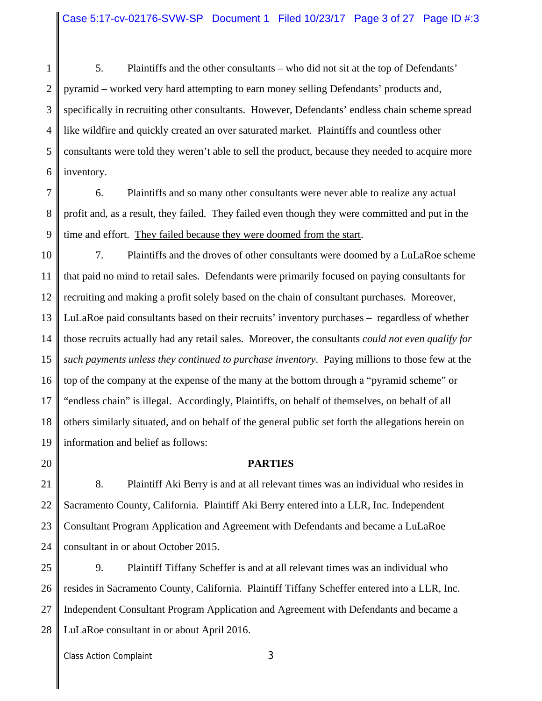1 2 3 4 5 6 5. Plaintiffs and the other consultants – who did not sit at the top of Defendants' pyramid – worked very hard attempting to earn money selling Defendants' products and, specifically in recruiting other consultants. However, Defendants' endless chain scheme spread like wildfire and quickly created an over saturated market. Plaintiffs and countless other consultants were told they weren't able to sell the product, because they needed to acquire more inventory.

7 8 9 6. Plaintiffs and so many other consultants were never able to realize any actual profit and, as a result, they failed. They failed even though they were committed and put in the time and effort. They failed because they were doomed from the start.

10 11 12 13 14 15 16 17 18 19 7. Plaintiffs and the droves of other consultants were doomed by a LuLaRoe scheme that paid no mind to retail sales. Defendants were primarily focused on paying consultants for recruiting and making a profit solely based on the chain of consultant purchases. Moreover, LuLaRoe paid consultants based on their recruits' inventory purchases – regardless of whether those recruits actually had any retail sales. Moreover, the consultants *could not even qualify for such payments unless they continued to purchase inventory*. Paying millions to those few at the top of the company at the expense of the many at the bottom through a "pyramid scheme" or "endless chain" is illegal. Accordingly, Plaintiffs, on behalf of themselves, on behalf of all others similarly situated, and on behalf of the general public set forth the allegations herein on information and belief as follows:

20

#### **PARTIES**

21 22 23 24 8. Plaintiff Aki Berry is and at all relevant times was an individual who resides in Sacramento County, California. Plaintiff Aki Berry entered into a LLR, Inc. Independent Consultant Program Application and Agreement with Defendants and became a LuLaRoe consultant in or about October 2015.

25 26 27 28 9. Plaintiff Tiffany Scheffer is and at all relevant times was an individual who resides in Sacramento County, California. Plaintiff Tiffany Scheffer entered into a LLR, Inc. Independent Consultant Program Application and Agreement with Defendants and became a LuLaRoe consultant in or about April 2016.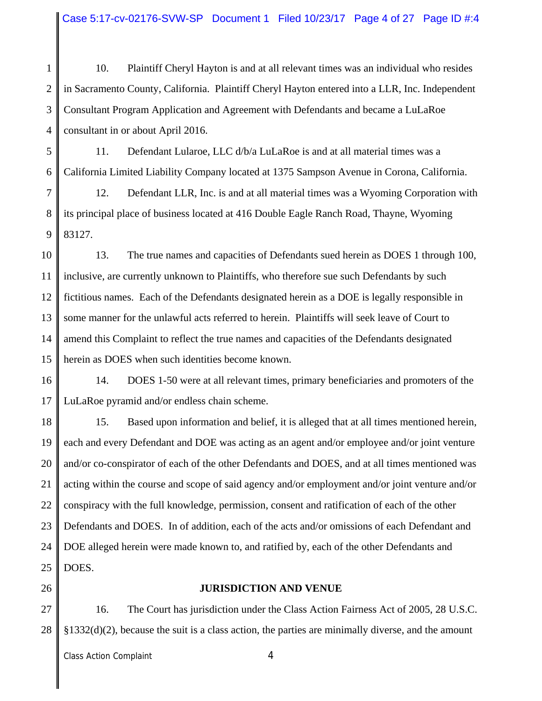Case 5:17-cv-02176-SVW-SP Document 1 Filed 10/23/17 Page 4 of 27 Page ID #:4

1 2 3 4 10. Plaintiff Cheryl Hayton is and at all relevant times was an individual who resides in Sacramento County, California. Plaintiff Cheryl Hayton entered into a LLR, Inc. Independent Consultant Program Application and Agreement with Defendants and became a LuLaRoe consultant in or about April 2016.

5 6 11. Defendant Lularoe, LLC d/b/a LuLaRoe is and at all material times was a California Limited Liability Company located at 1375 Sampson Avenue in Corona, California.

7 8 9 12. Defendant LLR, Inc. is and at all material times was a Wyoming Corporation with its principal place of business located at 416 Double Eagle Ranch Road, Thayne, Wyoming 83127.

10 11 12 13 14 15 13. The true names and capacities of Defendants sued herein as DOES 1 through 100, inclusive, are currently unknown to Plaintiffs, who therefore sue such Defendants by such fictitious names. Each of the Defendants designated herein as a DOE is legally responsible in some manner for the unlawful acts referred to herein. Plaintiffs will seek leave of Court to amend this Complaint to reflect the true names and capacities of the Defendants designated herein as DOES when such identities become known.

16 17 14. DOES 1-50 were at all relevant times, primary beneficiaries and promoters of the LuLaRoe pyramid and/or endless chain scheme.

18 19 20 21 22 23 24 25 15. Based upon information and belief, it is alleged that at all times mentioned herein, each and every Defendant and DOE was acting as an agent and/or employee and/or joint venture and/or co-conspirator of each of the other Defendants and DOES, and at all times mentioned was acting within the course and scope of said agency and/or employment and/or joint venture and/or conspiracy with the full knowledge, permission, consent and ratification of each of the other Defendants and DOES. In of addition, each of the acts and/or omissions of each Defendant and DOE alleged herein were made known to, and ratified by, each of the other Defendants and DOES.

26

### **JURISDICTION AND VENUE**

27 28 16. The Court has jurisdiction under the Class Action Fairness Act of 2005, 28 U.S.C. §1332(d)(2), because the suit is a class action, the parties are minimally diverse, and the amount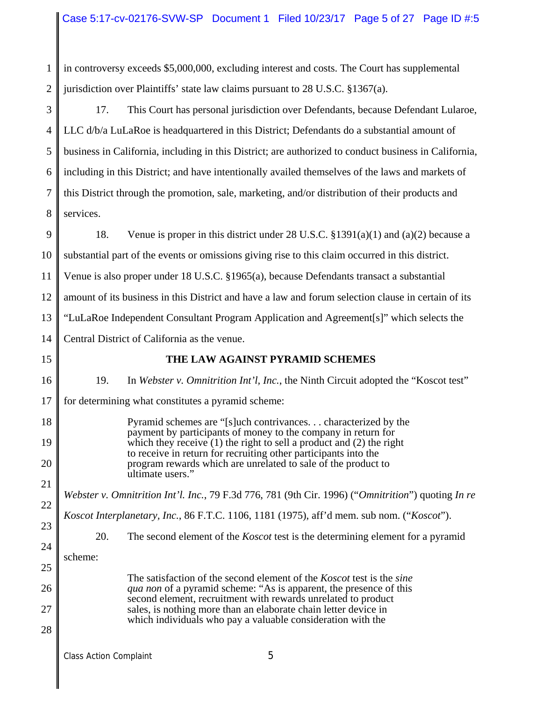1 2 in controversy exceeds \$5,000,000, excluding interest and costs. The Court has supplemental jurisdiction over Plaintiffs' state law claims pursuant to 28 U.S.C. §1367(a).

3 4 5 6 7 8 17. This Court has personal jurisdiction over Defendants, because Defendant Lularoe, LLC d/b/a LuLaRoe is headquartered in this District; Defendants do a substantial amount of business in California, including in this District; are authorized to conduct business in California, including in this District; and have intentionally availed themselves of the laws and markets of this District through the promotion, sale, marketing, and/or distribution of their products and services.

9 10 11 12 13 14 18. Venue is proper in this district under 28 U.S.C. §1391(a)(1) and (a)(2) because a substantial part of the events or omissions giving rise to this claim occurred in this district. Venue is also proper under 18 U.S.C. §1965(a), because Defendants transact a substantial amount of its business in this District and have a law and forum selection clause in certain of its "LuLaRoe Independent Consultant Program Application and Agreement[s]" which selects the Central District of California as the venue.

15

26

27

28

# **THE LAW AGAINST PYRAMID SCHEMES**

16 17 18 19 20 21 22 23 24 25 19. In *Webster v. Omnitrition Int'l, Inc.*, the Ninth Circuit adopted the "Koscot test" for determining what constitutes a pyramid scheme: Pyramid schemes are "[s]uch contrivances. . . characterized by the payment by participants of money to the company in return for which they receive  $(1)$  the right to sell a product and  $(2)$  the right to receive in return for recruiting other participants into the program rewards which are unrelated to sale of the product to ultimate users." *Webster v. Omnitrition Int'l. Inc.*, 79 F.3d 776, 781 (9th Cir. 1996) ("*Omnitrition*") quoting *In re Koscot Interplanetary, Inc.*, 86 F.T.C. 1106, 1181 (1975), aff'd mem. sub nom. ("*Koscot*"). 20. The second element of the *Koscot* test is the determining element for a pyramid scheme:

The satisfaction of the second element of the *Koscot* test is the *sine qua non* of a pyramid scheme: "As is apparent, the presence of this second element, recruitment with rewards unrelated to product sales, is nothing more than an elaborate chain letter device in which individuals who pay a valuable consideration with the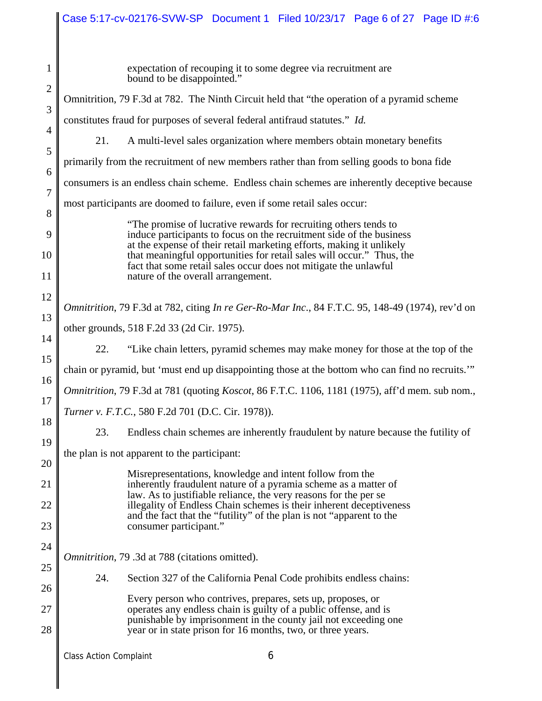# Case 5:17-cv-02176-SVW-SP Document 1 Filed 10/23/17 Page 6 of 27 Page ID #:6

| $\mathbf{1}$ | expectation of recouping it to some degree via recruitment are<br>bound to be disappointed."                                                                                    |  |  |  |  |
|--------------|---------------------------------------------------------------------------------------------------------------------------------------------------------------------------------|--|--|--|--|
| $\mathbf{2}$ | Omnitrition, 79 F.3d at 782. The Ninth Circuit held that "the operation of a pyramid scheme"                                                                                    |  |  |  |  |
| 3            | constitutes fraud for purposes of several federal antifraud statutes." Id.                                                                                                      |  |  |  |  |
| 4            | 21.<br>A multi-level sales organization where members obtain monetary benefits                                                                                                  |  |  |  |  |
| 5            | primarily from the recruitment of new members rather than from selling goods to bona fide                                                                                       |  |  |  |  |
| 6            | consumers is an endless chain scheme. Endless chain schemes are inherently deceptive because                                                                                    |  |  |  |  |
| 7            | most participants are doomed to failure, even if some retail sales occur:                                                                                                       |  |  |  |  |
| 8<br>9       | "The promise of lucrative rewards for recruiting others tends to                                                                                                                |  |  |  |  |
| 10           | induce participants to focus on the recruitment side of the business<br>at the expense of their retail marketing efforts, making it unlikely                                    |  |  |  |  |
| 11           | that meaningful opportunities for retail sales will occur." Thus, the<br>fact that some retail sales occur does not mitigate the unlawful<br>nature of the overall arrangement. |  |  |  |  |
| 12           |                                                                                                                                                                                 |  |  |  |  |
| 13           | Omnitrition, 79 F.3d at 782, citing In re Ger-Ro-Mar Inc., 84 F.T.C. 95, 148-49 (1974), rev'd on                                                                                |  |  |  |  |
| 14           | other grounds, 518 F.2d 33 (2d Cir. 1975).                                                                                                                                      |  |  |  |  |
| 15           | "Like chain letters, pyramid schemes may make money for those at the top of the<br>22.                                                                                          |  |  |  |  |
| 16           | chain or pyramid, but 'must end up disappointing those at the bottom who can find no recruits."                                                                                 |  |  |  |  |
| 17           | Omnitrition, 79 F.3d at 781 (quoting Koscot, 86 F.T.C. 1106, 1181 (1975), aff'd mem. sub nom.,                                                                                  |  |  |  |  |
| 18           | Turner v. F.T.C., 580 F.2d 701 (D.C. Cir. 1978)).                                                                                                                               |  |  |  |  |
| 19           | 23.<br>Endless chain schemes are inherently fraudulent by nature because the futility of                                                                                        |  |  |  |  |
| 20           | the plan is not apparent to the participant:                                                                                                                                    |  |  |  |  |
| 21           | Misrepresentations, knowledge and intent follow from the<br>inherently fraudulent nature of a pyramia scheme as a matter of                                                     |  |  |  |  |
| 22           | law. As to justifiable reliance, the very reasons for the per se<br>illegality of Endless Chain schemes is their inherent deceptiveness                                         |  |  |  |  |
| 23           | and the fact that the "futility" of the plan is not "apparent to the<br>consumer participant."                                                                                  |  |  |  |  |
| 24           |                                                                                                                                                                                 |  |  |  |  |
| 25           | Omnitrition, 79 .3d at 788 (citations omitted).                                                                                                                                 |  |  |  |  |
| 26           | 24.<br>Section 327 of the California Penal Code prohibits endless chains:                                                                                                       |  |  |  |  |
| 27           | Every person who contrives, prepares, sets up, proposes, or<br>operates any endless chain is guilty of a public offense, and is                                                 |  |  |  |  |
| 28           | punishable by imprisonment in the county jail not exceeding one<br>year or in state prison for 16 months, two, or three years.                                                  |  |  |  |  |
|              | 6<br><b>Class Action Complaint</b>                                                                                                                                              |  |  |  |  |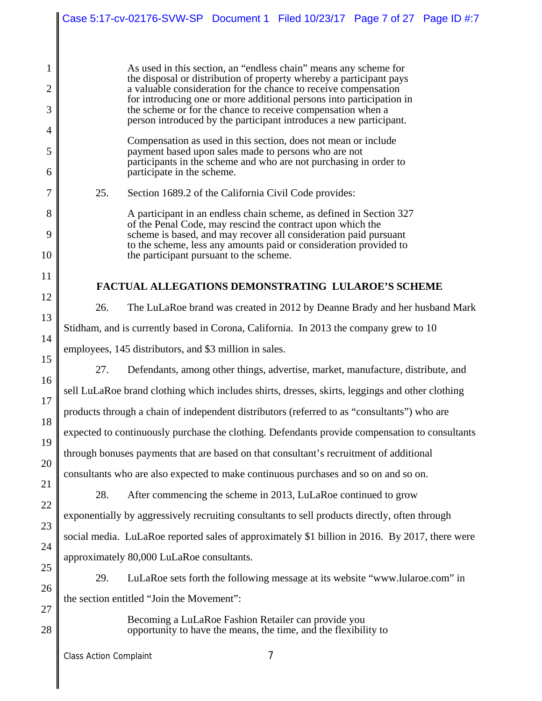|                                                                                                                                                                                                                                                                                                                                                        | Case 5:17-cv-02176-SVW-SP Document 1 Filed 10/23/17 Page 7 of 27 Page ID #:7                                                                                                                                                                                                                                                                                                                                            |  |  |  |  |  |
|--------------------------------------------------------------------------------------------------------------------------------------------------------------------------------------------------------------------------------------------------------------------------------------------------------------------------------------------------------|-------------------------------------------------------------------------------------------------------------------------------------------------------------------------------------------------------------------------------------------------------------------------------------------------------------------------------------------------------------------------------------------------------------------------|--|--|--|--|--|
| 1<br>2<br>3                                                                                                                                                                                                                                                                                                                                            | As used in this section, an "endless chain" means any scheme for<br>the disposal or distribution of property whereby a participant pays<br>a valuable consideration for the chance to receive compensation<br>for introducing one or more additional persons into participation in<br>the scheme or for the chance to receive compensation when a<br>person introduced by the participant introduces a new participant. |  |  |  |  |  |
| 4<br>5<br>6                                                                                                                                                                                                                                                                                                                                            | Compensation as used in this section, does not mean or include<br>payment based upon sales made to persons who are not<br>participants in the scheme and who are not purchasing in order to<br>participate in the scheme.                                                                                                                                                                                               |  |  |  |  |  |
| 7<br>8<br>9<br>10                                                                                                                                                                                                                                                                                                                                      | 25.<br>Section 1689.2 of the California Civil Code provides:<br>A participant in an endless chain scheme, as defined in Section 327<br>of the Penal Code, may rescind the contract upon which the<br>scheme is based, and may recover all consideration paid pursuant<br>to the scheme, less any amounts paid or consideration provided to<br>the participant pursuant to the scheme.                                   |  |  |  |  |  |
| 11<br>12                                                                                                                                                                                                                                                                                                                                               | <b>FACTUAL ALLEGATIONS DEMONSTRATING LULAROE'S SCHEME</b>                                                                                                                                                                                                                                                                                                                                                               |  |  |  |  |  |
| 26.<br>The LuLaRoe brand was created in 2012 by Deanne Brady and her husband Mark<br>13<br>Stidham, and is currently based in Corona, California. In 2013 the company grew to 10<br>14<br>employees, 145 distributors, and \$3 million in sales.<br>15<br>27.<br>Defendants, among other things, advertise, market, manufacture, distribute, and<br>16 |                                                                                                                                                                                                                                                                                                                                                                                                                         |  |  |  |  |  |
| 17<br>18<br>19                                                                                                                                                                                                                                                                                                                                         | sell LuLaRoe brand clothing which includes shirts, dresses, skirts, leggings and other clothing<br>products through a chain of independent distributors (referred to as "consultants") who are<br>expected to continuously purchase the clothing. Defendants provide compensation to consultants<br>through bonuses payments that are based on that consultant's recruitment of additional                              |  |  |  |  |  |
| 20<br>21<br>22<br>23                                                                                                                                                                                                                                                                                                                                   | consultants who are also expected to make continuous purchases and so on and so on.<br>28.<br>After commencing the scheme in 2013, LuLaRoe continued to grow<br>exponentially by aggressively recruiting consultants to sell products directly, often through<br>social media. LuLaRoe reported sales of approximately \$1 billion in 2016. By 2017, there were                                                         |  |  |  |  |  |
| 24<br>25<br>26<br>27                                                                                                                                                                                                                                                                                                                                   | approximately 80,000 LuLaRoe consultants.<br>29.<br>LuLaRoe sets forth the following message at its website "www.lularoe.com" in<br>the section entitled "Join the Movement":                                                                                                                                                                                                                                           |  |  |  |  |  |
| 28                                                                                                                                                                                                                                                                                                                                                     | Becoming a LuLaRoe Fashion Retailer can provide you<br>opportunity to have the means, the time, and the flexibility to<br>7<br><b>Class Action Complaint</b>                                                                                                                                                                                                                                                            |  |  |  |  |  |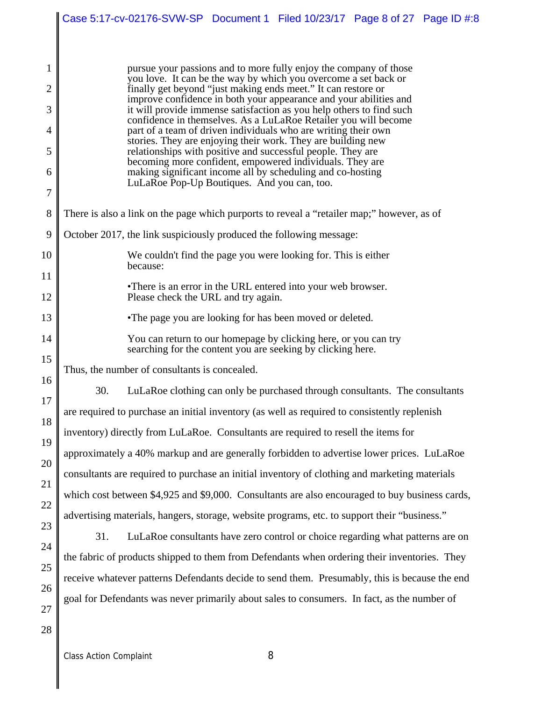|          | Case 5:17-cv-02176-SVW-SP Document 1 Filed 10/23/17 Page 8 of 27 Page ID #:8                                                              |  |  |  |  |  |  |
|----------|-------------------------------------------------------------------------------------------------------------------------------------------|--|--|--|--|--|--|
|          |                                                                                                                                           |  |  |  |  |  |  |
| 1        | pursue your passions and to more fully enjoy the company of those                                                                         |  |  |  |  |  |  |
| 2        | you love. It can be the way by which you overcome a set back or<br>finally get beyond "just making ends meet." It can restore or          |  |  |  |  |  |  |
| 3        | improve confidence in both your appearance and your abilities and<br>it will provide immense satisfaction as you help others to find such |  |  |  |  |  |  |
| 4        | confidence in themselves. As a LuLaRoe Retailer you will become<br>part of a team of driven individuals who are writing their own         |  |  |  |  |  |  |
| 5        | stories. They are enjoying their work. They are building new<br>relationships with positive and successful people. They are               |  |  |  |  |  |  |
| 6        | becoming more confident, empowered individuals. They are<br>making significant income all by scheduling and co-hosting                    |  |  |  |  |  |  |
| 7        | LuLaRoe Pop-Up Boutiques. And you can, too.                                                                                               |  |  |  |  |  |  |
| 8        | There is also a link on the page which purports to reveal a "retailer map;" however, as of                                                |  |  |  |  |  |  |
| 9        | October 2017, the link suspiciously produced the following message:                                                                       |  |  |  |  |  |  |
| 10       | We couldn't find the page you were looking for. This is either<br>because:                                                                |  |  |  |  |  |  |
| 11       | • There is an error in the URL entered into your web browser.                                                                             |  |  |  |  |  |  |
| 12       | Please check the URL and try again.                                                                                                       |  |  |  |  |  |  |
| 13       | •The page you are looking for has been moved or deleted.                                                                                  |  |  |  |  |  |  |
| 14       | You can return to our homepage by clicking here, or you can try<br>searching for the content you are seeking by clicking here.            |  |  |  |  |  |  |
| 15       | Thus, the number of consultants is concealed.                                                                                             |  |  |  |  |  |  |
| 16       | 30.<br>LuLaRoe clothing can only be purchased through consultants. The consultants                                                        |  |  |  |  |  |  |
| 17<br>18 | are required to purchase an initial inventory (as well as required to consistently replenish                                              |  |  |  |  |  |  |
| 19       | inventory) directly from LuLaRoe. Consultants are required to resell the items for                                                        |  |  |  |  |  |  |
| 20       | approximately a 40% markup and are generally forbidden to advertise lower prices. LuLaRoe                                                 |  |  |  |  |  |  |
| 21       | consultants are required to purchase an initial inventory of clothing and marketing materials                                             |  |  |  |  |  |  |
| 22       | which cost between \$4,925 and \$9,000. Consultants are also encouraged to buy business cards,                                            |  |  |  |  |  |  |
| 23       | advertising materials, hangers, storage, website programs, etc. to support their "business."                                              |  |  |  |  |  |  |
| 24       | 31.<br>LuLaRoe consultants have zero control or choice regarding what patterns are on                                                     |  |  |  |  |  |  |
| 25       | the fabric of products shipped to them from Defendants when ordering their inventories. They                                              |  |  |  |  |  |  |
| 26       | receive whatever patterns Defendants decide to send them. Presumably, this is because the end                                             |  |  |  |  |  |  |
| 27       | goal for Defendants was never primarily about sales to consumers. In fact, as the number of                                               |  |  |  |  |  |  |
| 28       |                                                                                                                                           |  |  |  |  |  |  |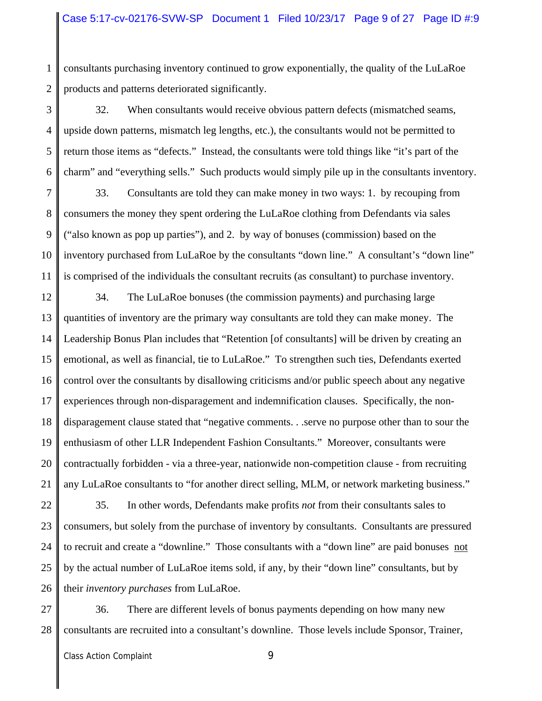1 2 consultants purchasing inventory continued to grow exponentially, the quality of the LuLaRoe products and patterns deteriorated significantly.

3 4 5 6 32. When consultants would receive obvious pattern defects (mismatched seams, upside down patterns, mismatch leg lengths, etc.), the consultants would not be permitted to return those items as "defects." Instead, the consultants were told things like "it's part of the charm" and "everything sells." Such products would simply pile up in the consultants inventory.

7 8 9 10 11 33. Consultants are told they can make money in two ways: 1. by recouping from consumers the money they spent ordering the LuLaRoe clothing from Defendants via sales ("also known as pop up parties"), and 2. by way of bonuses (commission) based on the inventory purchased from LuLaRoe by the consultants "down line." A consultant's "down line" is comprised of the individuals the consultant recruits (as consultant) to purchase inventory.

12 13 14 15 16 17 18 19 20 21 34. The LuLaRoe bonuses (the commission payments) and purchasing large quantities of inventory are the primary way consultants are told they can make money. The Leadership Bonus Plan includes that "Retention [of consultants] will be driven by creating an emotional, as well as financial, tie to LuLaRoe." To strengthen such ties, Defendants exerted control over the consultants by disallowing criticisms and/or public speech about any negative experiences through non-disparagement and indemnification clauses. Specifically, the nondisparagement clause stated that "negative comments. . .serve no purpose other than to sour the enthusiasm of other LLR Independent Fashion Consultants." Moreover, consultants were contractually forbidden - via a three-year, nationwide non-competition clause - from recruiting any LuLaRoe consultants to "for another direct selling, MLM, or network marketing business."

22 23 24 25 26 35. In other words, Defendants make profits *not* from their consultants sales to consumers, but solely from the purchase of inventory by consultants. Consultants are pressured to recruit and create a "downline." Those consultants with a "down line" are paid bonuses not by the actual number of LuLaRoe items sold, if any, by their "down line" consultants, but by their *inventory purchases* from LuLaRoe.

27 28 36. There are different levels of bonus payments depending on how many new consultants are recruited into a consultant's downline. Those levels include Sponsor, Trainer,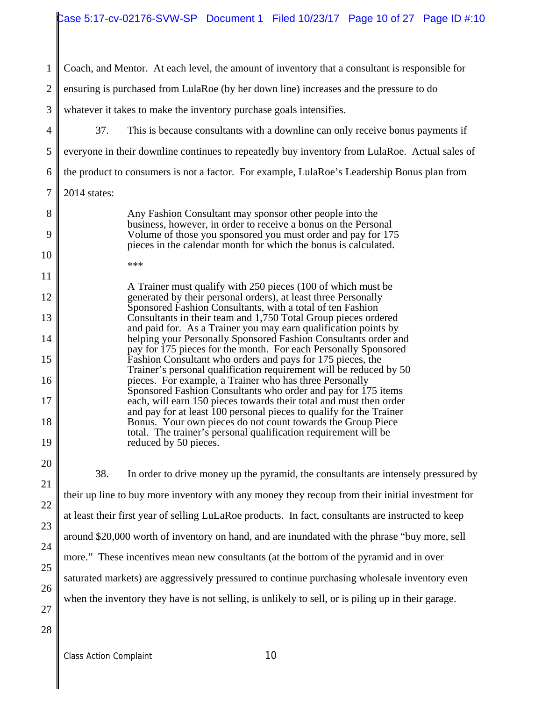| $\mathbf{1}$                                       | Coach, and Mentor. At each level, the amount of inventory that a consultant is responsible for                                                                                                                                                                                                                                                                                                                                                                                                                                                                                                                                                                                                        |  |  |  |  |
|----------------------------------------------------|-------------------------------------------------------------------------------------------------------------------------------------------------------------------------------------------------------------------------------------------------------------------------------------------------------------------------------------------------------------------------------------------------------------------------------------------------------------------------------------------------------------------------------------------------------------------------------------------------------------------------------------------------------------------------------------------------------|--|--|--|--|
| $\overline{2}$                                     | ensuring is purchased from LulaRoe (by her down line) increases and the pressure to do                                                                                                                                                                                                                                                                                                                                                                                                                                                                                                                                                                                                                |  |  |  |  |
| 3                                                  | whatever it takes to make the inventory purchase goals intensifies.                                                                                                                                                                                                                                                                                                                                                                                                                                                                                                                                                                                                                                   |  |  |  |  |
| 4                                                  | 37.<br>This is because consultants with a downline can only receive bonus payments if                                                                                                                                                                                                                                                                                                                                                                                                                                                                                                                                                                                                                 |  |  |  |  |
| 5                                                  | everyone in their downline continues to repeatedly buy inventory from LulaRoe. Actual sales of                                                                                                                                                                                                                                                                                                                                                                                                                                                                                                                                                                                                        |  |  |  |  |
| 6                                                  | the product to consumers is not a factor. For example, LulaRoe's Leadership Bonus plan from                                                                                                                                                                                                                                                                                                                                                                                                                                                                                                                                                                                                           |  |  |  |  |
| $\boldsymbol{7}$                                   | 2014 states:                                                                                                                                                                                                                                                                                                                                                                                                                                                                                                                                                                                                                                                                                          |  |  |  |  |
| 8<br>9<br>10                                       | Any Fashion Consultant may sponsor other people into the<br>business, however, in order to receive a bonus on the Personal<br>Volume of those you sponsored you must order and pay for 175<br>pieces in the calendar month for which the bonus is calculated.<br>***                                                                                                                                                                                                                                                                                                                                                                                                                                  |  |  |  |  |
| 11<br>12<br>13<br>14<br>15                         | A Trainer must qualify with 250 pieces (100 of which must be<br>generated by their personal orders), at least three Personally<br>Sponsored Fashion Consultants, with a total of ten Fashion<br>Consultants in their team and 1,750 Total Group pieces ordered<br>and paid for. As a Trainer you may earn qualification points by<br>helping your Personally Sponsored Fashion Consultants order and<br>pay for 175 pieces for the month. For each Personally Sponsored<br>Fashion Consultant who orders and pays for 175 pieces, the                                                                                                                                                                 |  |  |  |  |
| 16<br>17<br>18<br>19                               | Trainer's personal qualification requirement will be reduced by 50<br>pieces. For example, a Trainer who has three Personally<br>Sponsored Fashion Consultants who order and pay for 175 items<br>each, will earn 150 pieces towards their total and must then order<br>and pay for at least 100 personal pieces to qualify for the Trainer<br>Bonus. Your own pieces do not count towards the Group Piece<br>total. The trainer's personal qualification requirement will be<br>reduced by 50 pieces.                                                                                                                                                                                                |  |  |  |  |
| 20<br>21<br>22<br>23<br>24<br>25<br>26<br>27<br>28 | 38.<br>In order to drive money up the pyramid, the consultants are intensely pressured by<br>their up line to buy more inventory with any money they recoup from their initial investment for<br>at least their first year of selling LuLaRoe products. In fact, consultants are instructed to keep<br>around \$20,000 worth of inventory on hand, and are inundated with the phrase "buy more, sell<br>more." These incentives mean new consultants (at the bottom of the pyramid and in over<br>saturated markets) are aggressively pressured to continue purchasing wholesale inventory even<br>when the inventory they have is not selling, is unlikely to sell, or is piling up in their garage. |  |  |  |  |
|                                                    |                                                                                                                                                                                                                                                                                                                                                                                                                                                                                                                                                                                                                                                                                                       |  |  |  |  |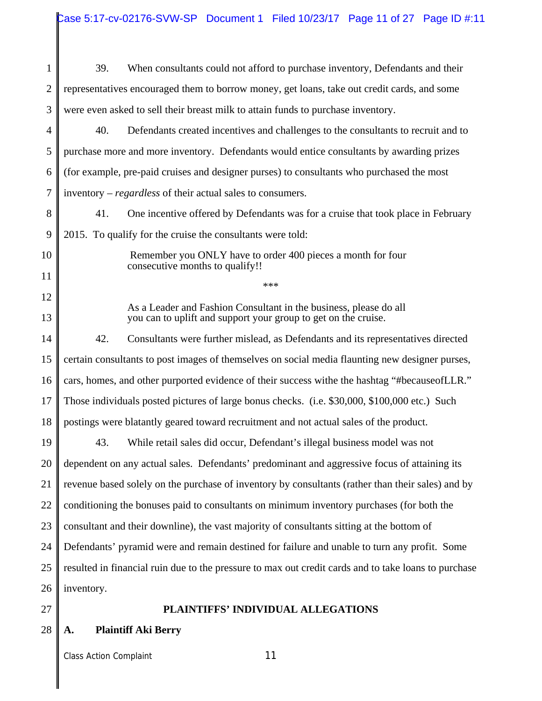1 2 3 4 5 6 7 8 9 10 11 12 13 14 15 16 17 18 19 20 21 22 23 24 25 26 27 28 39. When consultants could not afford to purchase inventory, Defendants and their representatives encouraged them to borrow money, get loans, take out credit cards, and some were even asked to sell their breast milk to attain funds to purchase inventory. 40. Defendants created incentives and challenges to the consultants to recruit and to purchase more and more inventory. Defendants would entice consultants by awarding prizes (for example, pre-paid cruises and designer purses) to consultants who purchased the most inventory – *regardless* of their actual sales to consumers. 41. One incentive offered by Defendants was for a cruise that took place in February 2015. To qualify for the cruise the consultants were told: Remember you ONLY have to order 400 pieces a month for four consecutive months to qualify!! \*\*\* As a Leader and Fashion Consultant in the business, please do all you can to uplift and support your group to get on the cruise. 42. Consultants were further mislead, as Defendants and its representatives directed certain consultants to post images of themselves on social media flaunting new designer purses, cars, homes, and other purported evidence of their success withe the hashtag "#becauseofLLR." Those individuals posted pictures of large bonus checks. (i.e. \$30,000, \$100,000 etc.) Such postings were blatantly geared toward recruitment and not actual sales of the product. 43. While retail sales did occur, Defendant's illegal business model was not dependent on any actual sales. Defendants' predominant and aggressive focus of attaining its revenue based solely on the purchase of inventory by consultants (rather than their sales) and by conditioning the bonuses paid to consultants on minimum inventory purchases (for both the consultant and their downline), the vast majority of consultants sitting at the bottom of Defendants' pyramid were and remain destined for failure and unable to turn any profit. Some resulted in financial ruin due to the pressure to max out credit cards and to take loans to purchase inventory. **PLAINTIFFS' INDIVIDUAL ALLEGATIONS A. Plaintiff Aki Berry**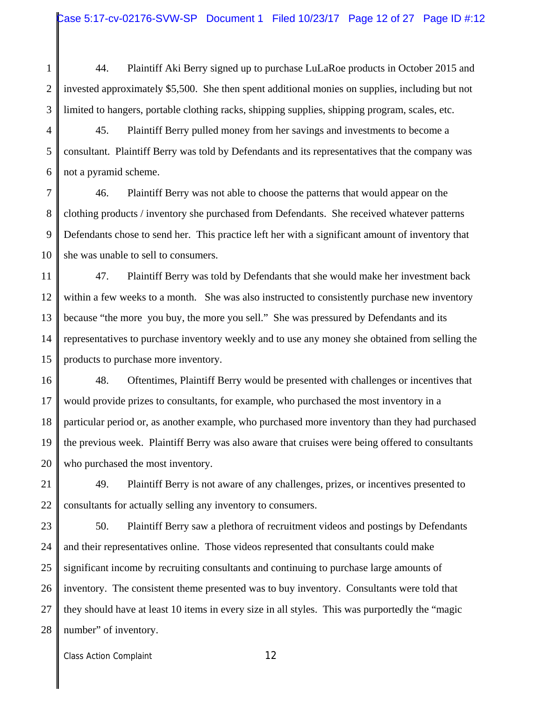1 2 3 44. Plaintiff Aki Berry signed up to purchase LuLaRoe products in October 2015 and invested approximately \$5,500. She then spent additional monies on supplies, including but not limited to hangers, portable clothing racks, shipping supplies, shipping program, scales, etc.

4 5 6 45. Plaintiff Berry pulled money from her savings and investments to become a consultant. Plaintiff Berry was told by Defendants and its representatives that the company was not a pyramid scheme.

7 8 9 10 46. Plaintiff Berry was not able to choose the patterns that would appear on the clothing products / inventory she purchased from Defendants. She received whatever patterns Defendants chose to send her. This practice left her with a significant amount of inventory that she was unable to sell to consumers.

11 12 13 14 15 47. Plaintiff Berry was told by Defendants that she would make her investment back within a few weeks to a month. She was also instructed to consistently purchase new inventory because "the more you buy, the more you sell." She was pressured by Defendants and its representatives to purchase inventory weekly and to use any money she obtained from selling the products to purchase more inventory.

16 17 18 19 20 48. Oftentimes, Plaintiff Berry would be presented with challenges or incentives that would provide prizes to consultants, for example, who purchased the most inventory in a particular period or, as another example, who purchased more inventory than they had purchased the previous week. Plaintiff Berry was also aware that cruises were being offered to consultants who purchased the most inventory.

21 22 49. Plaintiff Berry is not aware of any challenges, prizes, or incentives presented to consultants for actually selling any inventory to consumers.

23 24 25 26 27 28 50. Plaintiff Berry saw a plethora of recruitment videos and postings by Defendants and their representatives online. Those videos represented that consultants could make significant income by recruiting consultants and continuing to purchase large amounts of inventory. The consistent theme presented was to buy inventory. Consultants were told that they should have at least 10 items in every size in all styles. This was purportedly the "magic number" of inventory.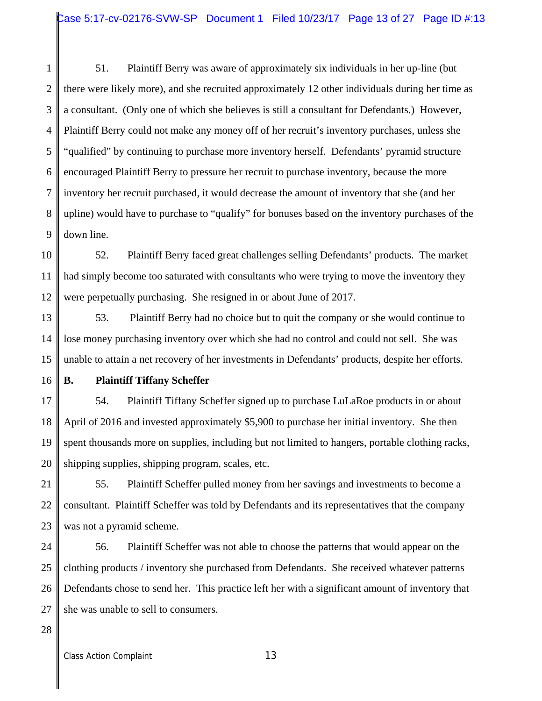1 2 3 4 5 6 7 8 9 51. Plaintiff Berry was aware of approximately six individuals in her up-line (but there were likely more), and she recruited approximately 12 other individuals during her time as a consultant. (Only one of which she believes is still a consultant for Defendants.) However, Plaintiff Berry could not make any money off of her recruit's inventory purchases, unless she "qualified" by continuing to purchase more inventory herself. Defendants' pyramid structure encouraged Plaintiff Berry to pressure her recruit to purchase inventory, because the more inventory her recruit purchased, it would decrease the amount of inventory that she (and her upline) would have to purchase to "qualify" for bonuses based on the inventory purchases of the down line.

10 11 12 52. Plaintiff Berry faced great challenges selling Defendants' products. The market had simply become too saturated with consultants who were trying to move the inventory they were perpetually purchasing. She resigned in or about June of 2017.

13 14 15 53. Plaintiff Berry had no choice but to quit the company or she would continue to lose money purchasing inventory over which she had no control and could not sell. She was unable to attain a net recovery of her investments in Defendants' products, despite her efforts.

16

## **B. Plaintiff Tiffany Scheffer**

17 18 19 20 54. Plaintiff Tiffany Scheffer signed up to purchase LuLaRoe products in or about April of 2016 and invested approximately \$5,900 to purchase her initial inventory. She then spent thousands more on supplies, including but not limited to hangers, portable clothing racks, shipping supplies, shipping program, scales, etc.

21 22 23 55. Plaintiff Scheffer pulled money from her savings and investments to become a consultant. Plaintiff Scheffer was told by Defendants and its representatives that the company was not a pyramid scheme.

24 25 26 27 56. Plaintiff Scheffer was not able to choose the patterns that would appear on the clothing products / inventory she purchased from Defendants. She received whatever patterns Defendants chose to send her. This practice left her with a significant amount of inventory that she was unable to sell to consumers.

28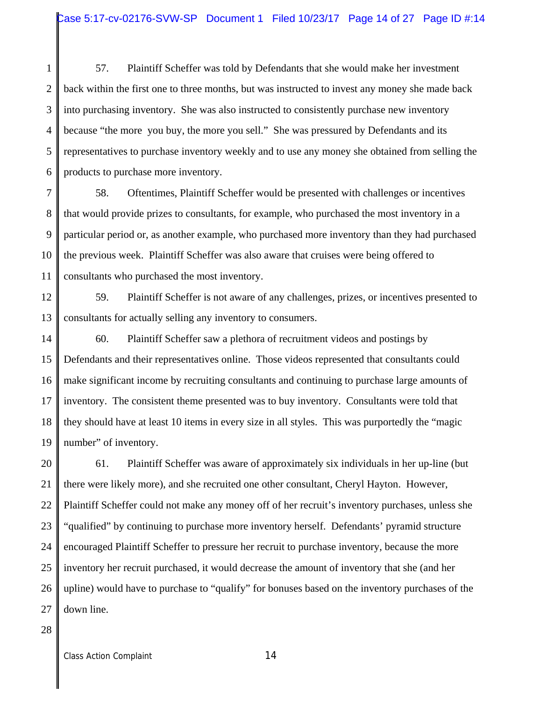1 2 3 4 5 6 57. Plaintiff Scheffer was told by Defendants that she would make her investment back within the first one to three months, but was instructed to invest any money she made back into purchasing inventory. She was also instructed to consistently purchase new inventory because "the more you buy, the more you sell." She was pressured by Defendants and its representatives to purchase inventory weekly and to use any money she obtained from selling the products to purchase more inventory.

7 8 9 10 11 58. Oftentimes, Plaintiff Scheffer would be presented with challenges or incentives that would provide prizes to consultants, for example, who purchased the most inventory in a particular period or, as another example, who purchased more inventory than they had purchased the previous week. Plaintiff Scheffer was also aware that cruises were being offered to consultants who purchased the most inventory.

12 13 59. Plaintiff Scheffer is not aware of any challenges, prizes, or incentives presented to consultants for actually selling any inventory to consumers.

14 15 16 17 18 19 60. Plaintiff Scheffer saw a plethora of recruitment videos and postings by Defendants and their representatives online. Those videos represented that consultants could make significant income by recruiting consultants and continuing to purchase large amounts of inventory. The consistent theme presented was to buy inventory. Consultants were told that they should have at least 10 items in every size in all styles. This was purportedly the "magic number" of inventory.

20 21 22 23 24 25 26 27 61. Plaintiff Scheffer was aware of approximately six individuals in her up-line (but there were likely more), and she recruited one other consultant, Cheryl Hayton. However, Plaintiff Scheffer could not make any money off of her recruit's inventory purchases, unless she "qualified" by continuing to purchase more inventory herself. Defendants' pyramid structure encouraged Plaintiff Scheffer to pressure her recruit to purchase inventory, because the more inventory her recruit purchased, it would decrease the amount of inventory that she (and her upline) would have to purchase to "qualify" for bonuses based on the inventory purchases of the down line.

28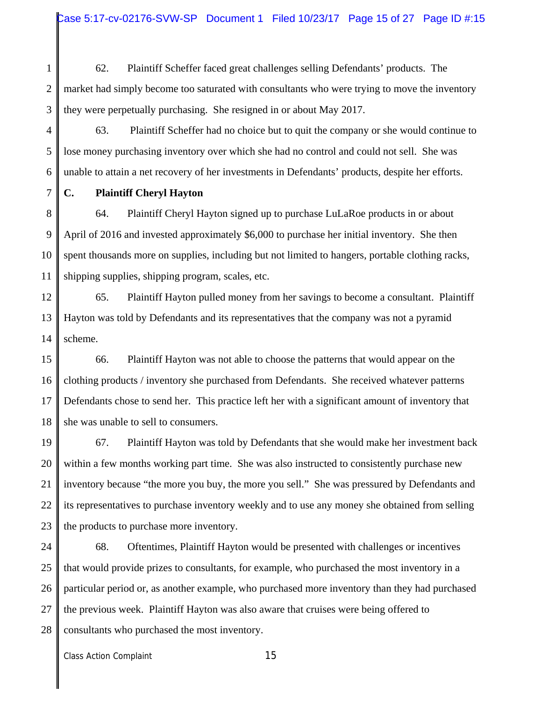1 2 3 62. Plaintiff Scheffer faced great challenges selling Defendants' products. The market had simply become too saturated with consultants who were trying to move the inventory they were perpetually purchasing. She resigned in or about May 2017.

4 5 6 63. Plaintiff Scheffer had no choice but to quit the company or she would continue to lose money purchasing inventory over which she had no control and could not sell. She was unable to attain a net recovery of her investments in Defendants' products, despite her efforts.

7

# **C. Plaintiff Cheryl Hayton**

8 9 10 11 64. Plaintiff Cheryl Hayton signed up to purchase LuLaRoe products in or about April of 2016 and invested approximately \$6,000 to purchase her initial inventory. She then spent thousands more on supplies, including but not limited to hangers, portable clothing racks, shipping supplies, shipping program, scales, etc.

12 13 14 65. Plaintiff Hayton pulled money from her savings to become a consultant. Plaintiff Hayton was told by Defendants and its representatives that the company was not a pyramid scheme.

15 16 17 18 66. Plaintiff Hayton was not able to choose the patterns that would appear on the clothing products / inventory she purchased from Defendants. She received whatever patterns Defendants chose to send her. This practice left her with a significant amount of inventory that she was unable to sell to consumers.

19 20 21 22 23 67. Plaintiff Hayton was told by Defendants that she would make her investment back within a few months working part time. She was also instructed to consistently purchase new inventory because "the more you buy, the more you sell." She was pressured by Defendants and its representatives to purchase inventory weekly and to use any money she obtained from selling the products to purchase more inventory.

24 25 26 27 28 68. Oftentimes, Plaintiff Hayton would be presented with challenges or incentives that would provide prizes to consultants, for example, who purchased the most inventory in a particular period or, as another example, who purchased more inventory than they had purchased the previous week. Plaintiff Hayton was also aware that cruises were being offered to consultants who purchased the most inventory.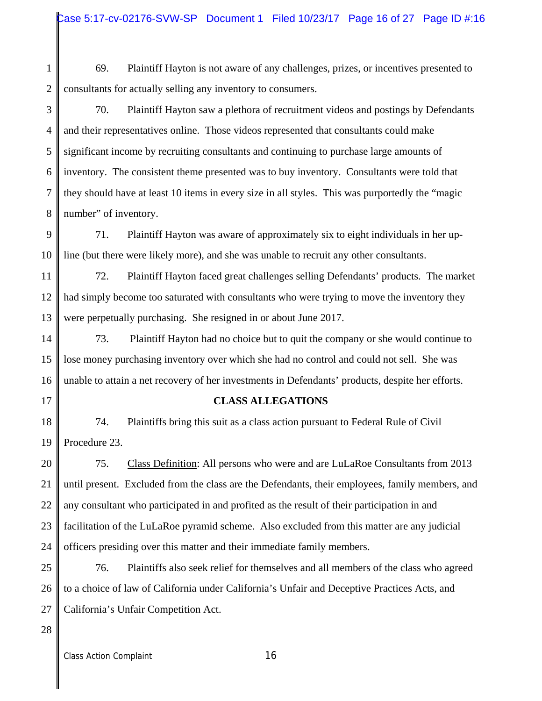1 2 69. Plaintiff Hayton is not aware of any challenges, prizes, or incentives presented to consultants for actually selling any inventory to consumers.

3 4 5 6 7 8 70. Plaintiff Hayton saw a plethora of recruitment videos and postings by Defendants and their representatives online. Those videos represented that consultants could make significant income by recruiting consultants and continuing to purchase large amounts of inventory. The consistent theme presented was to buy inventory. Consultants were told that they should have at least 10 items in every size in all styles. This was purportedly the "magic number" of inventory.

9 10 71. Plaintiff Hayton was aware of approximately six to eight individuals in her upline (but there were likely more), and she was unable to recruit any other consultants.

11 12 13 72. Plaintiff Hayton faced great challenges selling Defendants' products. The market had simply become too saturated with consultants who were trying to move the inventory they were perpetually purchasing. She resigned in or about June 2017.

14 15 16 73. Plaintiff Hayton had no choice but to quit the company or she would continue to lose money purchasing inventory over which she had no control and could not sell. She was unable to attain a net recovery of her investments in Defendants' products, despite her efforts.

17

#### **CLASS ALLEGATIONS**

18 19 74. Plaintiffs bring this suit as a class action pursuant to Federal Rule of Civil Procedure 23.

20 21 22 23 24 75. Class Definition: All persons who were and are LuLaRoe Consultants from 2013 until present. Excluded from the class are the Defendants, their employees, family members, and any consultant who participated in and profited as the result of their participation in and facilitation of the LuLaRoe pyramid scheme. Also excluded from this matter are any judicial officers presiding over this matter and their immediate family members.

25 26 27 76. Plaintiffs also seek relief for themselves and all members of the class who agreed to a choice of law of California under California's Unfair and Deceptive Practices Acts, and California's Unfair Competition Act.

28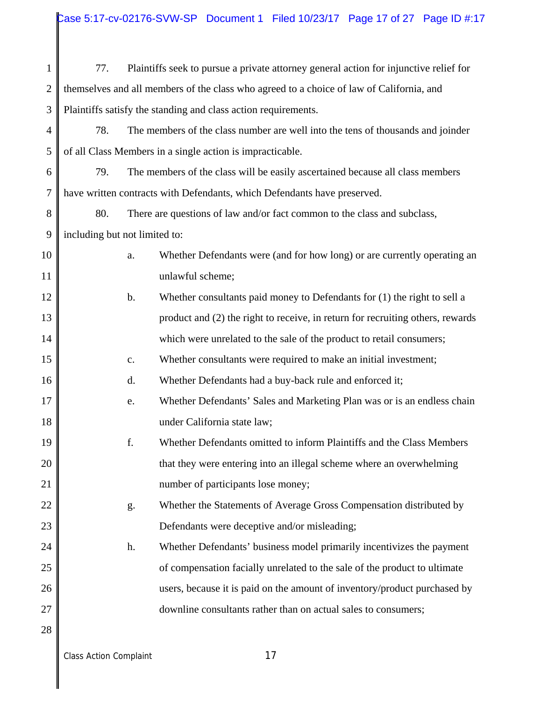| $\mathbf{1}$   | 77.                                                                                      |                | Plaintiffs seek to pursue a private attorney general action for injunctive relief for |  |
|----------------|------------------------------------------------------------------------------------------|----------------|---------------------------------------------------------------------------------------|--|
| $\mathbf{2}$   | themselves and all members of the class who agreed to a choice of law of California, and |                |                                                                                       |  |
| 3              | Plaintiffs satisfy the standing and class action requirements.                           |                |                                                                                       |  |
| $\overline{4}$ | 78.<br>The members of the class number are well into the tens of thousands and joinder   |                |                                                                                       |  |
| 5              |                                                                                          |                | of all Class Members in a single action is impracticable.                             |  |
| 6              | 79.                                                                                      |                | The members of the class will be easily ascertained because all class members         |  |
| $\overline{7}$ | have written contracts with Defendants, which Defendants have preserved.                 |                |                                                                                       |  |
| $8\,$          | 80.                                                                                      |                | There are questions of law and/or fact common to the class and subclass,              |  |
| 9              | including but not limited to:                                                            |                |                                                                                       |  |
| 10             |                                                                                          | a.             | Whether Defendants were (and for how long) or are currently operating an              |  |
| 11             |                                                                                          |                | unlawful scheme;                                                                      |  |
| 12             |                                                                                          | b.             | Whether consultants paid money to Defendants for $(1)$ the right to sell a            |  |
| 13             |                                                                                          |                | product and (2) the right to receive, in return for recruiting others, rewards        |  |
| 14             |                                                                                          |                | which were unrelated to the sale of the product to retail consumers;                  |  |
| 15             |                                                                                          | $\mathbf{c}$ . | Whether consultants were required to make an initial investment;                      |  |
| 16             |                                                                                          | d.             | Whether Defendants had a buy-back rule and enforced it;                               |  |
| 17             |                                                                                          | e.             | Whether Defendants' Sales and Marketing Plan was or is an endless chain               |  |
| 18             |                                                                                          |                | under California state law;                                                           |  |
| 19             |                                                                                          | f.             | Whether Defendants omitted to inform Plaintiffs and the Class Members                 |  |
| 20             |                                                                                          |                | that they were entering into an illegal scheme where an overwhelming                  |  |
| 21             |                                                                                          |                | number of participants lose money;                                                    |  |
| 22             |                                                                                          | g.             | Whether the Statements of Average Gross Compensation distributed by                   |  |
| 23             |                                                                                          |                | Defendants were deceptive and/or misleading;                                          |  |
| 24             |                                                                                          | h.             | Whether Defendants' business model primarily incentivizes the payment                 |  |
| 25             |                                                                                          |                | of compensation facially unrelated to the sale of the product to ultimate             |  |
| 26             |                                                                                          |                | users, because it is paid on the amount of inventory/product purchased by             |  |
| 27             |                                                                                          |                | downline consultants rather than on actual sales to consumers;                        |  |
| 28             |                                                                                          |                |                                                                                       |  |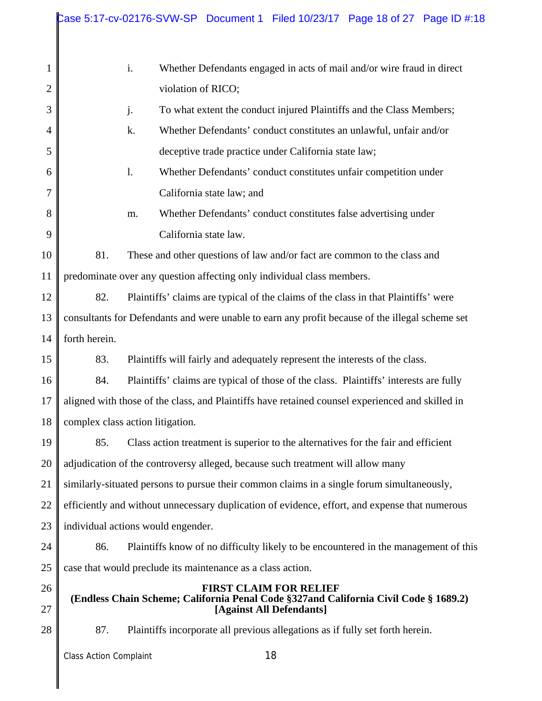|                | Case 5:17-cv-02176-SVW-SP Document 1 Filed 10/23/17 Page 18 of 27 Page ID #:18                                                                    |  |  |  |  |
|----------------|---------------------------------------------------------------------------------------------------------------------------------------------------|--|--|--|--|
| $\mathbf{1}$   | i.<br>Whether Defendants engaged in acts of mail and/or wire fraud in direct                                                                      |  |  |  |  |
| $\mathbf{2}$   | violation of RICO;                                                                                                                                |  |  |  |  |
| $\mathfrak{Z}$ | j.<br>To what extent the conduct injured Plaintiffs and the Class Members;                                                                        |  |  |  |  |
| 4              | k.<br>Whether Defendants' conduct constitutes an unlawful, unfair and/or                                                                          |  |  |  |  |
| 5              | deceptive trade practice under California state law;                                                                                              |  |  |  |  |
|                | $\mathbf{1}$ .                                                                                                                                    |  |  |  |  |
| 6              | Whether Defendants' conduct constitutes unfair competition under                                                                                  |  |  |  |  |
| 7              | California state law; and                                                                                                                         |  |  |  |  |
| 8              | Whether Defendants' conduct constitutes false advertising under<br>m.                                                                             |  |  |  |  |
| 9              | California state law.                                                                                                                             |  |  |  |  |
| 10             | 81.<br>These and other questions of law and/or fact are common to the class and                                                                   |  |  |  |  |
| 11             | predominate over any question affecting only individual class members.                                                                            |  |  |  |  |
| 12             | 82.<br>Plaintiffs' claims are typical of the claims of the class in that Plaintiffs' were                                                         |  |  |  |  |
| 13             | consultants for Defendants and were unable to earn any profit because of the illegal scheme set                                                   |  |  |  |  |
| 14             | forth herein.                                                                                                                                     |  |  |  |  |
| 15             | 83.<br>Plaintiffs will fairly and adequately represent the interests of the class.                                                                |  |  |  |  |
| 16             | 84.<br>Plaintiffs' claims are typical of those of the class. Plaintiffs' interests are fully                                                      |  |  |  |  |
| 17             | aligned with those of the class, and Plaintiffs have retained counsel experienced and skilled in                                                  |  |  |  |  |
| 18             | complex class action litigation.                                                                                                                  |  |  |  |  |
| 19             | Class action treatment is superior to the alternatives for the fair and efficient<br>85.                                                          |  |  |  |  |
| 20             | adjudication of the controversy alleged, because such treatment will allow many                                                                   |  |  |  |  |
| 21             | similarly-situated persons to pursue their common claims in a single forum simultaneously,                                                        |  |  |  |  |
| 22             | efficiently and without unnecessary duplication of evidence, effort, and expense that numerous                                                    |  |  |  |  |
| 23             | individual actions would engender.                                                                                                                |  |  |  |  |
| 24             | Plaintiffs know of no difficulty likely to be encountered in the management of this<br>86.                                                        |  |  |  |  |
| 25             | case that would preclude its maintenance as a class action.                                                                                       |  |  |  |  |
| 26<br>27       | <b>FIRST CLAIM FOR RELIEF</b><br>(Endless Chain Scheme; California Penal Code §327and California Civil Code § 1689.2)<br>[Against All Defendants] |  |  |  |  |
| 28             | 87.<br>Plaintiffs incorporate all previous allegations as if fully set forth herein.                                                              |  |  |  |  |
|                | 18<br><b>Class Action Complaint</b>                                                                                                               |  |  |  |  |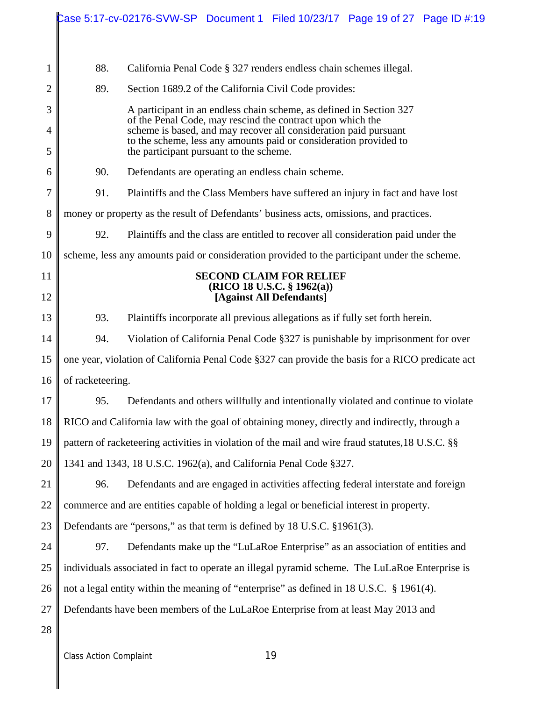|    |                                                                                                   | Case 5:17-cv-02176-SVW-SP Document 1 Filed 10/23/17 Page 19 of 27 Page ID #:19                                                                                                                      |  |                                                                                    |  |  |  |
|----|---------------------------------------------------------------------------------------------------|-----------------------------------------------------------------------------------------------------------------------------------------------------------------------------------------------------|--|------------------------------------------------------------------------------------|--|--|--|
|    |                                                                                                   |                                                                                                                                                                                                     |  |                                                                                    |  |  |  |
| 1  | 88.                                                                                               |                                                                                                                                                                                                     |  | California Penal Code § 327 renders endless chain schemes illegal.                 |  |  |  |
| 2  | 89.                                                                                               | Section 1689.2 of the California Civil Code provides:                                                                                                                                               |  |                                                                                    |  |  |  |
| 3  |                                                                                                   | A participant in an endless chain scheme, as defined in Section 327                                                                                                                                 |  |                                                                                    |  |  |  |
| 4  |                                                                                                   | of the Penal Code, may rescind the contract upon which the<br>scheme is based, and may recover all consideration paid pursuant<br>to the scheme, less any amounts paid or consideration provided to |  |                                                                                    |  |  |  |
| 5  |                                                                                                   | the participant pursuant to the scheme.                                                                                                                                                             |  |                                                                                    |  |  |  |
| 6  | 90.                                                                                               |                                                                                                                                                                                                     |  | Defendants are operating an endless chain scheme.                                  |  |  |  |
| 7  | 91.                                                                                               |                                                                                                                                                                                                     |  | Plaintiffs and the Class Members have suffered an injury in fact and have lost     |  |  |  |
| 8  | money or property as the result of Defendants' business acts, omissions, and practices.           |                                                                                                                                                                                                     |  |                                                                                    |  |  |  |
| 9  | 92.<br>Plaintiffs and the class are entitled to recover all consideration paid under the          |                                                                                                                                                                                                     |  |                                                                                    |  |  |  |
| 10 | scheme, less any amounts paid or consideration provided to the participant under the scheme.      |                                                                                                                                                                                                     |  |                                                                                    |  |  |  |
| 11 | <b>SECOND CLAIM FOR RELIEF</b><br>(RICO 18 U.S.C. § 1962(a))                                      |                                                                                                                                                                                                     |  |                                                                                    |  |  |  |
| 12 |                                                                                                   |                                                                                                                                                                                                     |  | [Against All Defendants]                                                           |  |  |  |
| 13 | 93.                                                                                               |                                                                                                                                                                                                     |  | Plaintiffs incorporate all previous allegations as if fully set forth herein.      |  |  |  |
| 14 | 94.                                                                                               |                                                                                                                                                                                                     |  | Violation of California Penal Code §327 is punishable by imprisonment for over     |  |  |  |
| 15 | one year, violation of California Penal Code §327 can provide the basis for a RICO predicate act  |                                                                                                                                                                                                     |  |                                                                                    |  |  |  |
| 16 | of racketeering.                                                                                  |                                                                                                                                                                                                     |  |                                                                                    |  |  |  |
| 17 | 95.                                                                                               |                                                                                                                                                                                                     |  | Defendants and others willfully and intentionally violated and continue to violate |  |  |  |
| 18 | RICO and California law with the goal of obtaining money, directly and indirectly, through a      |                                                                                                                                                                                                     |  |                                                                                    |  |  |  |
| 19 | pattern of racketeering activities in violation of the mail and wire fraud statutes, 18 U.S.C. §§ |                                                                                                                                                                                                     |  |                                                                                    |  |  |  |
| 20 | 1341 and 1343, 18 U.S.C. 1962(a), and California Penal Code §327.                                 |                                                                                                                                                                                                     |  |                                                                                    |  |  |  |
| 21 | 96.                                                                                               |                                                                                                                                                                                                     |  | Defendants and are engaged in activities affecting federal interstate and foreign  |  |  |  |
| 22 | commerce and are entities capable of holding a legal or beneficial interest in property.          |                                                                                                                                                                                                     |  |                                                                                    |  |  |  |
| 23 |                                                                                                   | Defendants are "persons," as that term is defined by 18 U.S.C. §1961(3).                                                                                                                            |  |                                                                                    |  |  |  |
| 24 | 97.                                                                                               |                                                                                                                                                                                                     |  | Defendants make up the "LuLaRoe Enterprise" as an association of entities and      |  |  |  |
| 25 |                                                                                                   | individuals associated in fact to operate an illegal pyramid scheme. The LuLaRoe Enterprise is                                                                                                      |  |                                                                                    |  |  |  |
| 26 | not a legal entity within the meaning of "enterprise" as defined in 18 U.S.C. § 1961(4).          |                                                                                                                                                                                                     |  |                                                                                    |  |  |  |
| 27 | Defendants have been members of the LuLaRoe Enterprise from at least May 2013 and                 |                                                                                                                                                                                                     |  |                                                                                    |  |  |  |
| 28 |                                                                                                   |                                                                                                                                                                                                     |  |                                                                                    |  |  |  |
|    |                                                                                                   |                                                                                                                                                                                                     |  |                                                                                    |  |  |  |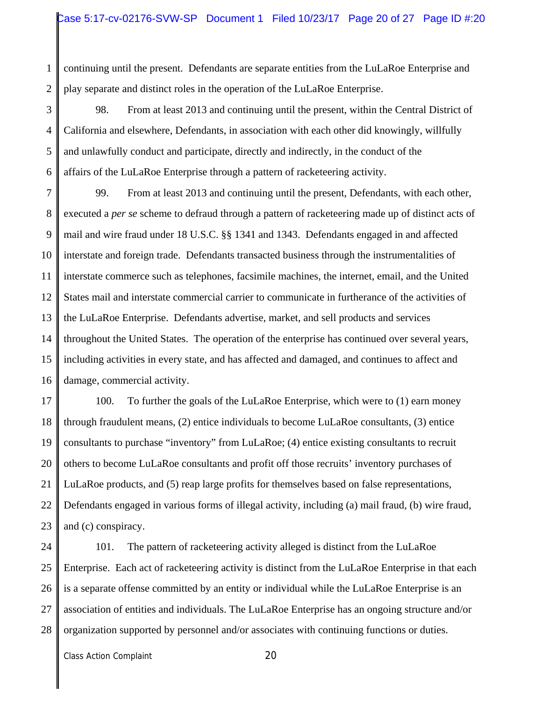1 2 continuing until the present. Defendants are separate entities from the LuLaRoe Enterprise and play separate and distinct roles in the operation of the LuLaRoe Enterprise.

3 4 5 6 98. From at least 2013 and continuing until the present, within the Central District of California and elsewhere, Defendants, in association with each other did knowingly, willfully and unlawfully conduct and participate, directly and indirectly, in the conduct of the affairs of the LuLaRoe Enterprise through a pattern of racketeering activity.

7 8 9 10 11 12 13 14 15 16 99. From at least 2013 and continuing until the present, Defendants, with each other, executed a *per se* scheme to defraud through a pattern of racketeering made up of distinct acts of mail and wire fraud under 18 U.S.C. §§ 1341 and 1343. Defendants engaged in and affected interstate and foreign trade. Defendants transacted business through the instrumentalities of interstate commerce such as telephones, facsimile machines, the internet, email, and the United States mail and interstate commercial carrier to communicate in furtherance of the activities of the LuLaRoe Enterprise. Defendants advertise, market, and sell products and services throughout the United States. The operation of the enterprise has continued over several years, including activities in every state, and has affected and damaged, and continues to affect and damage, commercial activity.

17 18 19 20 21 22 23 100. To further the goals of the LuLaRoe Enterprise, which were to (1) earn money through fraudulent means, (2) entice individuals to become LuLaRoe consultants, (3) entice consultants to purchase "inventory" from LuLaRoe; (4) entice existing consultants to recruit others to become LuLaRoe consultants and profit off those recruits' inventory purchases of LuLaRoe products, and (5) reap large profits for themselves based on false representations, Defendants engaged in various forms of illegal activity, including (a) mail fraud, (b) wire fraud, and (c) conspiracy.

24 25 26 27 28 101. The pattern of racketeering activity alleged is distinct from the LuLaRoe Enterprise. Each act of racketeering activity is distinct from the LuLaRoe Enterprise in that each is a separate offense committed by an entity or individual while the LuLaRoe Enterprise is an association of entities and individuals. The LuLaRoe Enterprise has an ongoing structure and/or organization supported by personnel and/or associates with continuing functions or duties.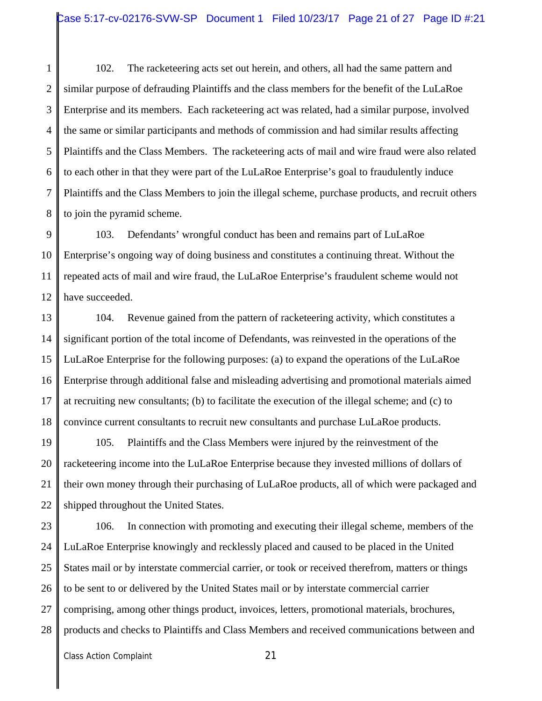1 2 3 4 5 6 7 8 102. The racketeering acts set out herein, and others, all had the same pattern and similar purpose of defrauding Plaintiffs and the class members for the benefit of the LuLaRoe Enterprise and its members. Each racketeering act was related, had a similar purpose, involved the same or similar participants and methods of commission and had similar results affecting Plaintiffs and the Class Members. The racketeering acts of mail and wire fraud were also related to each other in that they were part of the LuLaRoe Enterprise's goal to fraudulently induce Plaintiffs and the Class Members to join the illegal scheme, purchase products, and recruit others to join the pyramid scheme.

9 10 11 12 103. Defendants' wrongful conduct has been and remains part of LuLaRoe Enterprise's ongoing way of doing business and constitutes a continuing threat. Without the repeated acts of mail and wire fraud, the LuLaRoe Enterprise's fraudulent scheme would not have succeeded.

13 14 15 16 17 18 104. Revenue gained from the pattern of racketeering activity, which constitutes a significant portion of the total income of Defendants, was reinvested in the operations of the LuLaRoe Enterprise for the following purposes: (a) to expand the operations of the LuLaRoe Enterprise through additional false and misleading advertising and promotional materials aimed at recruiting new consultants; (b) to facilitate the execution of the illegal scheme; and (c) to convince current consultants to recruit new consultants and purchase LuLaRoe products.

19 20 21 22 105. Plaintiffs and the Class Members were injured by the reinvestment of the racketeering income into the LuLaRoe Enterprise because they invested millions of dollars of their own money through their purchasing of LuLaRoe products, all of which were packaged and shipped throughout the United States.

23 24 25 26 27 28 106. In connection with promoting and executing their illegal scheme, members of the LuLaRoe Enterprise knowingly and recklessly placed and caused to be placed in the United States mail or by interstate commercial carrier, or took or received therefrom, matters or things to be sent to or delivered by the United States mail or by interstate commercial carrier comprising, among other things product, invoices, letters, promotional materials, brochures, products and checks to Plaintiffs and Class Members and received communications between and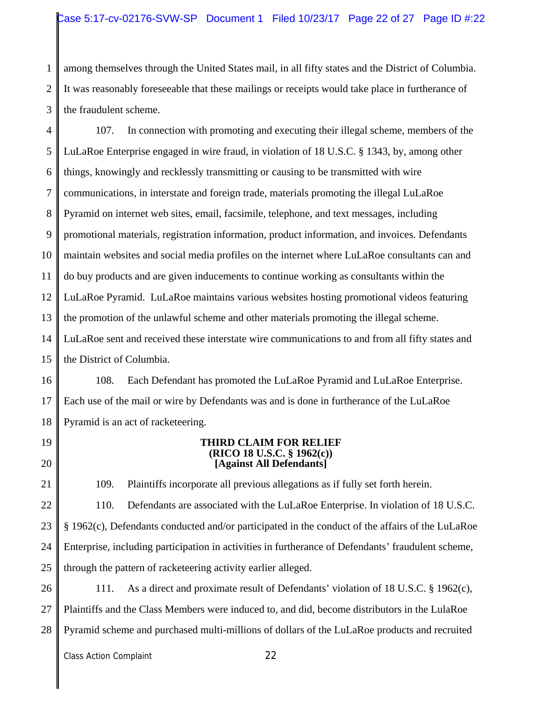1 2 3 among themselves through the United States mail, in all fifty states and the District of Columbia. It was reasonably foreseeable that these mailings or receipts would take place in furtherance of the fraudulent scheme.

4 5 6 7 8 9 10 11 12 13 14 15 107. In connection with promoting and executing their illegal scheme, members of the LuLaRoe Enterprise engaged in wire fraud, in violation of 18 U.S.C. § 1343, by, among other things, knowingly and recklessly transmitting or causing to be transmitted with wire communications, in interstate and foreign trade, materials promoting the illegal LuLaRoe Pyramid on internet web sites, email, facsimile, telephone, and text messages, including promotional materials, registration information, product information, and invoices. Defendants maintain websites and social media profiles on the internet where LuLaRoe consultants can and do buy products and are given inducements to continue working as consultants within the LuLaRoe Pyramid. LuLaRoe maintains various websites hosting promotional videos featuring the promotion of the unlawful scheme and other materials promoting the illegal scheme. LuLaRoe sent and received these interstate wire communications to and from all fifty states and the District of Columbia.

16 17 18 108. Each Defendant has promoted the LuLaRoe Pyramid and LuLaRoe Enterprise. Each use of the mail or wire by Defendants was and is done in furtherance of the LuLaRoe Pyramid is an act of racketeering.

19

20

21

**THIRD CLAIM FOR RELIEF (RICO 18 U.S.C. § 1962(c)) [Against All Defendants]**

109. Plaintiffs incorporate all previous allegations as if fully set forth herein.

22 23 24 25 110. Defendants are associated with the LuLaRoe Enterprise. In violation of 18 U.S.C. § 1962(c), Defendants conducted and/or participated in the conduct of the affairs of the LuLaRoe Enterprise, including participation in activities in furtherance of Defendants' fraudulent scheme, through the pattern of racketeering activity earlier alleged.

26 27 28 111. As a direct and proximate result of Defendants' violation of 18 U.S.C. § 1962(c), Plaintiffs and the Class Members were induced to, and did, become distributors in the LulaRoe Pyramid scheme and purchased multi-millions of dollars of the LuLaRoe products and recruited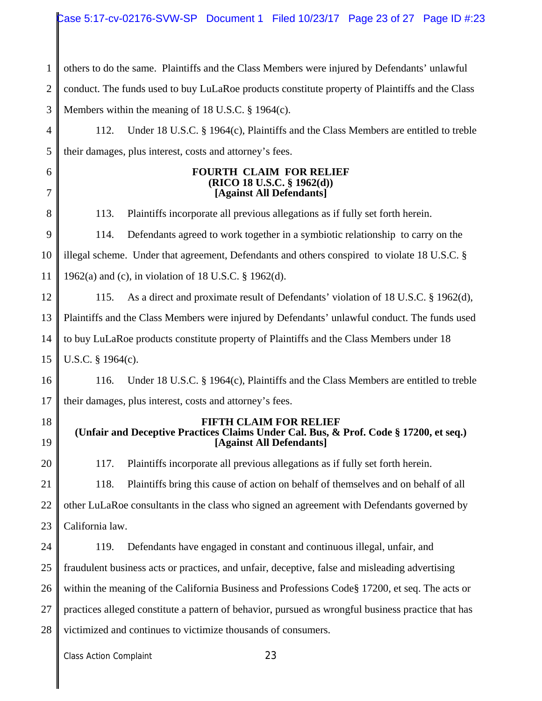1 2 3 4 5 6 7 8 9 10 11 12 13 14 15 16 17 18 19 20 21 22 23 24 25 26 27 28 others to do the same. Plaintiffs and the Class Members were injured by Defendants' unlawful conduct. The funds used to buy LuLaRoe products constitute property of Plaintiffs and the Class Members within the meaning of 18 U.S.C. § 1964(c). 112. Under 18 U.S.C. § 1964(c), Plaintiffs and the Class Members are entitled to treble their damages, plus interest, costs and attorney's fees. **FOURTH CLAIM FOR RELIEF (RICO 18 U.S.C. § 1962(d)) [Against All Defendants]** 113. Plaintiffs incorporate all previous allegations as if fully set forth herein. 114. Defendants agreed to work together in a symbiotic relationship to carry on the illegal scheme. Under that agreement, Defendants and others conspired to violate 18 U.S.C. § 1962(a) and (c), in violation of 18 U.S.C. § 1962(d). 115. As a direct and proximate result of Defendants' violation of 18 U.S.C. § 1962(d), Plaintiffs and the Class Members were injured by Defendants' unlawful conduct. The funds used to buy LuLaRoe products constitute property of Plaintiffs and the Class Members under 18 U.S.C. § 1964(c). 116. Under 18 U.S.C. § 1964(c), Plaintiffs and the Class Members are entitled to treble their damages, plus interest, costs and attorney's fees. **FIFTH CLAIM FOR RELIEF (Unfair and Deceptive Practices Claims Under Cal. Bus, & Prof. Code § 17200, et seq.) [Against All Defendants]** 117. Plaintiffs incorporate all previous allegations as if fully set forth herein. 118. Plaintiffs bring this cause of action on behalf of themselves and on behalf of all other LuLaRoe consultants in the class who signed an agreement with Defendants governed by California law. 119. Defendants have engaged in constant and continuous illegal, unfair, and fraudulent business acts or practices, and unfair, deceptive, false and misleading advertising within the meaning of the California Business and Professions Code§ 17200, et seq. The acts or practices alleged constitute a pattern of behavior, pursued as wrongful business practice that has victimized and continues to victimize thousands of consumers.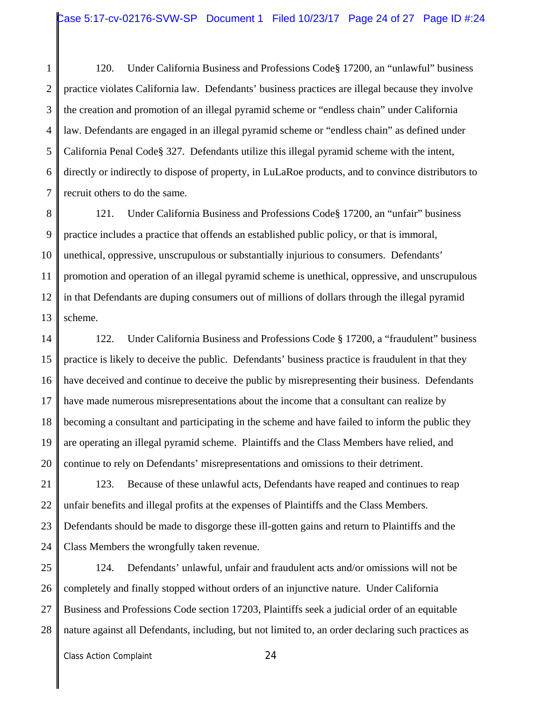1 2 3 4 5 6 7 120. Under California Business and Professions Code§ 17200, an "unlawful" business practice violates California law. Defendants' business practices are illegal because they involve the creation and promotion of an illegal pyramid scheme or "endless chain" under California law. Defendants are engaged in an illegal pyramid scheme or "endless chain" as defined under California Penal Code§ 327. Defendants utilize this illegal pyramid scheme with the intent, directly or indirectly to dispose of property, in LuLaRoe products, and to convince distributors to recruit others to do the same.

8 9 10 11 12 13 121. Under California Business and Professions Code§ 17200, an "unfair" business practice includes a practice that offends an established public policy, or that is immoral, unethical, oppressive, unscrupulous or substantially injurious to consumers. Defendants' promotion and operation of an illegal pyramid scheme is unethical, oppressive, and unscrupulous in that Defendants are duping consumers out of millions of dollars through the illegal pyramid scheme.

14 15 16 17 18 19 20 122. Under California Business and Professions Code § 17200, a "fraudulent" business practice is likely to deceive the public. Defendants' business practice is fraudulent in that they have deceived and continue to deceive the public by misrepresenting their business. Defendants have made numerous misrepresentations about the income that a consultant can realize by becoming a consultant and participating in the scheme and have failed to inform the public they are operating an illegal pyramid scheme. Plaintiffs and the Class Members have relied, and continue to rely on Defendants' misrepresentations and omissions to their detriment.

21 22 23 24 123. Because of these unlawful acts, Defendants have reaped and continues to reap unfair benefits and illegal profits at the expenses of Plaintiffs and the Class Members. Defendants should be made to disgorge these ill-gotten gains and return to Plaintiffs and the Class Members the wrongfully taken revenue.

25 26 27 28 124. Defendants' unlawful, unfair and fraudulent acts and/or omissions will not be completely and finally stopped without orders of an injunctive nature. Under California Business and Professions Code section 17203, Plaintiffs seek a judicial order of an equitable nature against all Defendants, including, but not limited to, an order declaring such practices as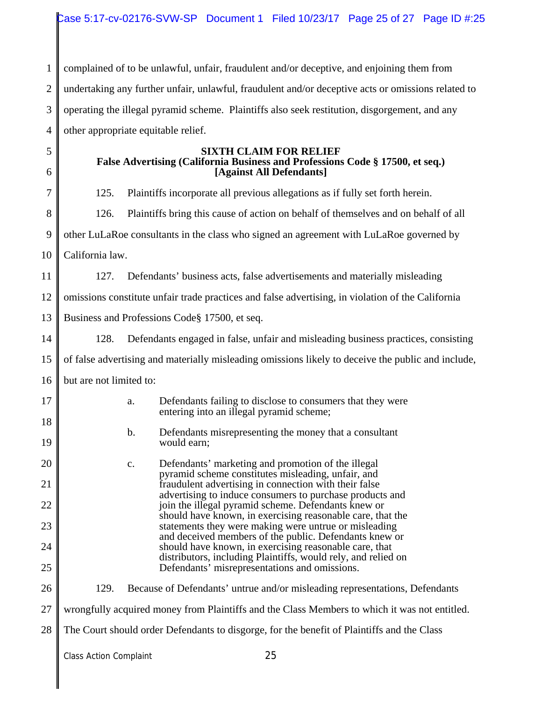1 2 3 4 complained of to be unlawful, unfair, fraudulent and/or deceptive, and enjoining them from undertaking any further unfair, unlawful, fraudulent and/or deceptive acts or omissions related to operating the illegal pyramid scheme. Plaintiffs also seek restitution, disgorgement, and any other appropriate equitable relief.

5 6

7

8

17

18

19

20

21

22

23

24

25

### **SIXTH CLAIM FOR RELIEF False Advertising (California Business and Professions Code § 17500, et seq.) [Against All Defendants]**

125. Plaintiffs incorporate all previous allegations as if fully set forth herein.

126. Plaintiffs bring this cause of action on behalf of themselves and on behalf of all

9 other LuLaRoe consultants in the class who signed an agreement with LuLaRoe governed by

10 California law.

11 127. Defendants' business acts, false advertisements and materially misleading

12 omissions constitute unfair trade practices and false advertising, in violation of the California

13 Business and Professions Code§ 17500, et seq.

14 128. Defendants engaged in false, unfair and misleading business practices, consisting

15 of false advertising and materially misleading omissions likely to deceive the public and include,

16 but are not limited to:

- a. Defendants failing to disclose to consumers that they were entering into an illegal pyramid scheme; b. Defendants misrepresenting the money that a consultant
- would earn; c. Defendants' marketing and promotion of the illegal pyramid scheme constitutes misleading, unfair, and fraudulent advertising in connection with their false advertising to induce consumers to purchase products and join the illegal pyramid scheme. Defendants knew or should have known, in exercising reasonable care, that the statements they were making were untrue or misleading and deceived members of the public. Defendants knew or
	- should have known, in exercising reasonable care, that distributors, including Plaintiffs, would rely, and relied on Defendants' misrepresentations and omissions.

26 129. Because of Defendants' untrue and/or misleading representations, Defendants

27 wrongfully acquired money from Plaintiffs and the Class Members to which it was not entitled.

28 The Court should order Defendants to disgorge, for the benefit of Plaintiffs and the Class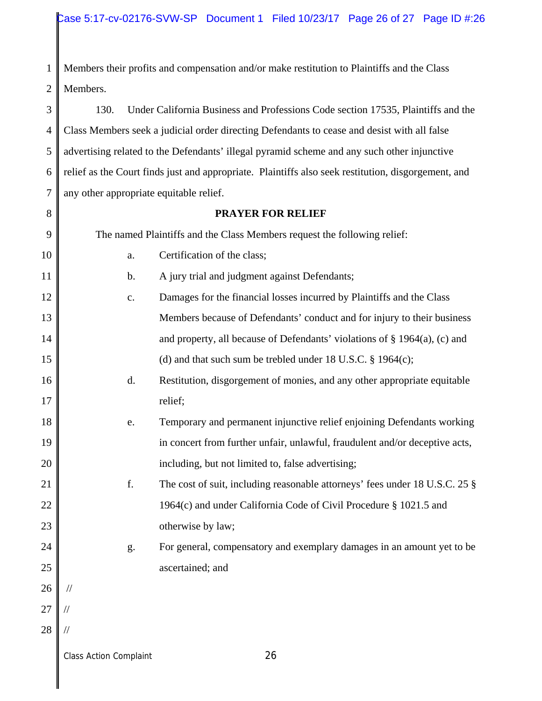1 2 Members their profits and compensation and/or make restitution to Plaintiffs and the Class Members.

3 4 5 6 7 130. Under California Business and Professions Code section 17535, Plaintiffs and the Class Members seek a judicial order directing Defendants to cease and desist with all false advertising related to the Defendants' illegal pyramid scheme and any such other injunctive relief as the Court finds just and appropriate. Plaintiffs also seek restitution, disgorgement, and any other appropriate equitable relief.

## **PRAYER FOR RELIEF**

8

| 9  | The named Plaintiffs and the Class Members request the following relief: |                                                                              |  |
|----|--------------------------------------------------------------------------|------------------------------------------------------------------------------|--|
| 10 | a.                                                                       | Certification of the class;                                                  |  |
| 11 | $\mathbf b$ .                                                            | A jury trial and judgment against Defendants;                                |  |
| 12 | $\mathbf{c}$ .                                                           | Damages for the financial losses incurred by Plaintiffs and the Class        |  |
| 13 |                                                                          | Members because of Defendants' conduct and for injury to their business      |  |
| 14 |                                                                          | and property, all because of Defendants' violations of $\S$ 1964(a), (c) and |  |
| 15 |                                                                          | (d) and that such sum be trebled under 18 U.S.C. $\S$ 1964(c);               |  |
| 16 | d.                                                                       | Restitution, disgorgement of monies, and any other appropriate equitable     |  |
| 17 |                                                                          | relief;                                                                      |  |
| 18 | e.                                                                       | Temporary and permanent injunctive relief enjoining Defendants working       |  |
| 19 |                                                                          | in concert from further unfair, unlawful, fraudulent and/or deceptive acts,  |  |
| 20 |                                                                          | including, but not limited to, false advertising;                            |  |
| 21 | f.                                                                       | The cost of suit, including reasonable attorneys' fees under 18 U.S.C. 25 §  |  |
| 22 |                                                                          | 1964(c) and under California Code of Civil Procedure § 1021.5 and            |  |
| 23 |                                                                          | otherwise by law;                                                            |  |
| 24 | g.                                                                       | For general, compensatory and exemplary damages in an amount yet to be       |  |
| 25 |                                                                          | ascertained; and                                                             |  |
| 26 | $\sqrt{}$                                                                |                                                                              |  |
| 27 |                                                                          |                                                                              |  |
| 28 |                                                                          |                                                                              |  |
|    | <b>Class Action Complaint</b>                                            | 26                                                                           |  |